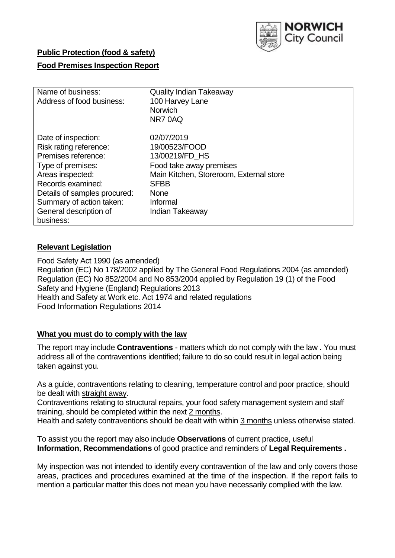

# **Public Protection (food & safety)**

## **Food Premises Inspection Report**

| Name of business:            | <b>Quality Indian Takeaway</b>          |
|------------------------------|-----------------------------------------|
| Address of food business:    | 100 Harvey Lane                         |
|                              | <b>Norwich</b>                          |
|                              | NR70AQ                                  |
| Date of inspection:          | 02/07/2019                              |
| Risk rating reference:       | 19/00523/FOOD                           |
| Premises reference:          | 13/00219/FD HS                          |
| Type of premises:            | Food take away premises                 |
| Areas inspected:             | Main Kitchen, Storeroom, External store |
| Records examined:            | <b>SFBB</b>                             |
| Details of samples procured: | <b>None</b>                             |
| Summary of action taken:     | Informal                                |
| General description of       | Indian Takeaway                         |
| business:                    |                                         |

# **Relevant Legislation**

Food Safety Act 1990 (as amended) Regulation (EC) No 178/2002 applied by The General Food Regulations 2004 (as amended) Regulation (EC) No 852/2004 and No 853/2004 applied by Regulation 19 (1) of the Food Safety and Hygiene (England) Regulations 2013 Health and Safety at Work etc. Act 1974 and related regulations Food Information Regulations 2014

## **What you must do to comply with the law**

The report may include **Contraventions** - matters which do not comply with the law . You must address all of the contraventions identified; failure to do so could result in legal action being taken against you.

As a guide, contraventions relating to cleaning, temperature control and poor practice, should be dealt with straight away.

Contraventions relating to structural repairs, your food safety management system and staff training, should be completed within the next 2 months.

Health and safety contraventions should be dealt with within 3 months unless otherwise stated.

To assist you the report may also include **Observations** of current practice, useful **Information**, **Recommendations** of good practice and reminders of **Legal Requirements .**

My inspection was not intended to identify every contravention of the law and only covers those areas, practices and procedures examined at the time of the inspection. If the report fails to mention a particular matter this does not mean you have necessarily complied with the law.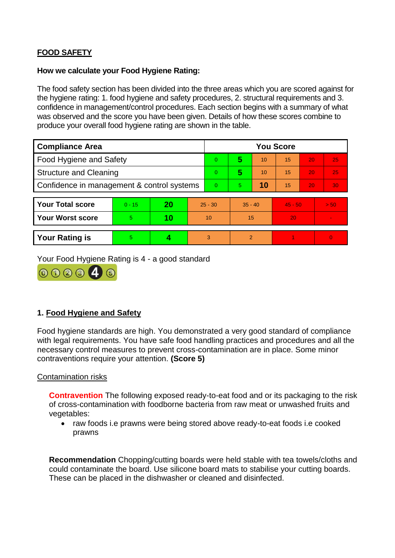# **FOOD SAFETY**

#### **How we calculate your Food Hygiene Rating:**

The food safety section has been divided into the three areas which you are scored against for the hygiene rating: 1. food hygiene and safety procedures, 2. structural requirements and 3. confidence in management/control procedures. Each section begins with a summary of what was observed and the score you have been given. Details of how these scores combine to produce your overall food hygiene rating are shown in the table.

| <b>Compliance Area</b>                     |          |    |           | <b>You Score</b> |                |    |           |    |          |  |  |
|--------------------------------------------|----------|----|-----------|------------------|----------------|----|-----------|----|----------|--|--|
| Food Hygiene and Safety                    |          |    |           | $\Omega$         | 5              | 10 | 15        | 20 | 25       |  |  |
| <b>Structure and Cleaning</b>              |          |    | $\Omega$  | 5                | 10             | 15 | 20        | 25 |          |  |  |
| Confidence in management & control systems |          |    | $\Omega$  | 5                | 10             | 15 | 20        | 30 |          |  |  |
|                                            |          |    |           |                  |                |    |           |    |          |  |  |
| <b>Your Total score</b>                    | $0 - 15$ | 20 | $25 - 30$ |                  | $35 - 40$      |    | $45 - 50$ |    | > 50     |  |  |
| <b>Your Worst score</b>                    | 5.       | 10 | 10        |                  | 15             |    | 20        |    |          |  |  |
|                                            |          |    |           |                  |                |    |           |    |          |  |  |
| <b>Your Rating is</b>                      | 5        |    |           | 3                | $\overline{2}$ |    |           |    | $\Omega$ |  |  |

Your Food Hygiene Rating is 4 - a good standard



# **1. Food Hygiene and Safety**

Food hygiene standards are high. You demonstrated a very good standard of compliance with legal requirements. You have safe food handling practices and procedures and all the necessary control measures to prevent cross-contamination are in place. Some minor contraventions require your attention. **(Score 5)**

## Contamination risks

**Contravention** The following exposed ready-to-eat food and or its packaging to the risk of cross-contamination with foodborne bacteria from raw meat or unwashed fruits and vegetables:

• raw foods i.e prawns were being stored above ready-to-eat foods i.e cooked prawns

**Recommendation** Chopping/cutting boards were held stable with tea towels/cloths and could contaminate the board. Use silicone board mats to stabilise your cutting boards. These can be placed in the dishwasher or cleaned and disinfected.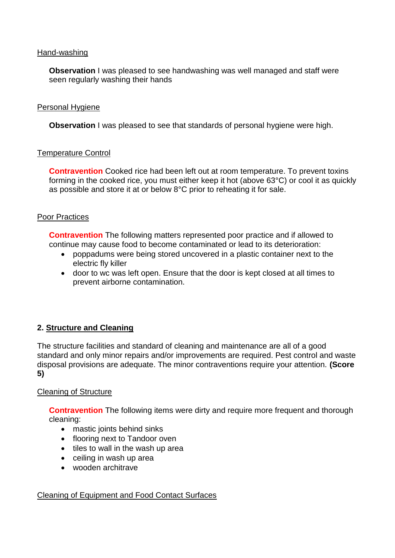## Hand-washing

**Observation** I was pleased to see handwashing was well managed and staff were seen regularly washing their hands

# Personal Hygiene

**Observation** I was pleased to see that standards of personal hygiene were high.

# Temperature Control

**Contravention** Cooked rice had been left out at room temperature. To prevent toxins forming in the cooked rice, you must either keep it hot (above 63°C) or cool it as quickly as possible and store it at or below 8°C prior to reheating it for sale.

# Poor Practices

**Contravention** The following matters represented poor practice and if allowed to continue may cause food to become contaminated or lead to its deterioration:

- poppadums were being stored uncovered in a plastic container next to the electric fly killer
- door to wc was left open. Ensure that the door is kept closed at all times to prevent airborne contamination.

# **2. Structure and Cleaning**

The structure facilities and standard of cleaning and maintenance are all of a good standard and only minor repairs and/or improvements are required. Pest control and waste disposal provisions are adequate. The minor contraventions require your attention. **(Score 5)**

# Cleaning of Structure

**Contravention** The following items were dirty and require more frequent and thorough cleaning:

- mastic joints behind sinks
- flooring next to Tandoor oven
- $\bullet$  tiles to wall in the wash up area
- ceiling in wash up area
- wooden architrave

## Cleaning of Equipment and Food Contact Surfaces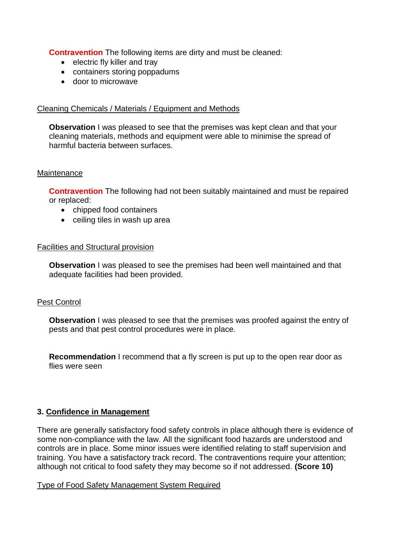**Contravention** The following items are dirty and must be cleaned:

- electric fly killer and tray
- containers storing poppadums
- door to microwave

# Cleaning Chemicals / Materials / Equipment and Methods

**Observation** I was pleased to see that the premises was kept clean and that your cleaning materials, methods and equipment were able to minimise the spread of harmful bacteria between surfaces.

## **Maintenance**

**Contravention** The following had not been suitably maintained and must be repaired or replaced:

- chipped food containers
- ceiling tiles in wash up area

#### Facilities and Structural provision

**Observation** I was pleased to see the premises had been well maintained and that adequate facilities had been provided.

## Pest Control

**Observation** I was pleased to see that the premises was proofed against the entry of pests and that pest control procedures were in place.

**Recommendation** I recommend that a fly screen is put up to the open rear door as flies were seen

## **3. Confidence in Management**

There are generally satisfactory food safety controls in place although there is evidence of some non-compliance with the law. All the significant food hazards are understood and controls are in place. Some minor issues were identified relating to staff supervision and training. You have a satisfactory track record. The contraventions require your attention; although not critical to food safety they may become so if not addressed. **(Score 10)**

## Type of Food Safety Management System Required